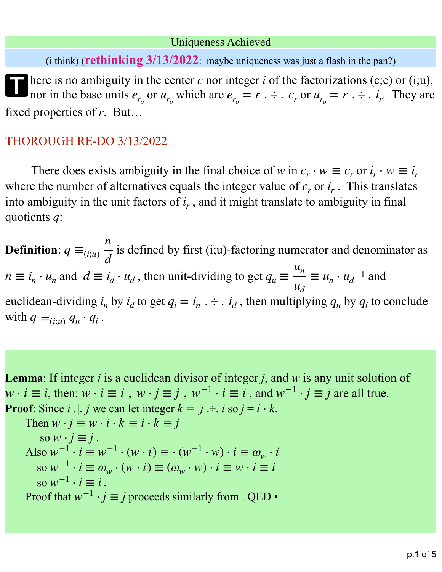## Uniqueness Achieved

(i think) (**rethinking 3/13/2022**: maybe uniqueness was just a flash in the pan?)

There is no ambiguity in the center  $c$  nor integer  $i$  of the factorizations (c;e) or (i;u), nor in the base units  $e_{r_o}$  or  $u_{r_o}$  which are  $e_{r_o} = r \cdot \div$ .  $c_r$  or  $u_{r_o} = r \cdot \div$ . *i<sub>r</sub>*. They are fixed properties of *r*. But…

## THOROUGH RE-DO 3/13/2022

There does exists ambiguity in the final choice of *w* in  $c_r \cdot w \equiv c_r$  or  $i_r \cdot w \equiv i_r$ where the number of alternatives equals the integer value of  $c_r$  or  $i_r$ . This translates into ambiguity in the unit factors of  $i_r$ , and it might translate to ambiguity in final quotients *q*:

**Definition**:  $q \equiv_{(i;u)} \frac{d}{d}$  is defined by first (i;u)-factoring numerator and denominator as  $n \equiv i_n \cdot u_n$  and  $d \equiv i_d \cdot u_d$ , then unit-dividing to get  $q_u \equiv \frac{n}{u} \equiv u_n \cdot u_d^{-1}$  and euclidean-dividing  $i_n$  by  $i_d$  to get  $q_i = i_n$ .  $\div$   $\div$   $\div$   $i_d$ , then multiplying  $q_u$  by  $q_i$  to conclude with  $q \equiv_{(i;u)} q_u \cdot q_i$ . *n d un ud*  $\equiv u_n \cdot u_d^{-1}$ 

**Lemma**: If integer *i* is a euclidean divisor of integer *j*, and *w* is any unit solution of  $w \cdot i \equiv i$ , then:  $w \cdot i \equiv i$ ,  $w \cdot j \equiv j$ ,  $w^{-1} \cdot i \equiv i$ , and  $w^{-1} \cdot j \equiv j$  are all true. **Proof**: Since *i* . | *j* we can let integer  $k = j - i$  *i* so  $j = i \cdot k$ . Then  $w \cdot j \equiv w \cdot i \cdot k \equiv i \cdot k \equiv j$  $\sin w \cdot j \equiv j$ . Also  $w^{-1} \cdot i \equiv w^{-1} \cdot (w \cdot i) \equiv \cdot (w^{-1} \cdot w) \cdot i \equiv \omega_w \cdot i$ so  $w^{-1} \cdot i \equiv \omega_w \cdot (w \cdot i) \equiv (\omega_w \cdot w) \cdot i \equiv w \cdot i \equiv i$  $\text{so } w^{-1} \cdot i \equiv i$ . Proof that  $w^{-1} \cdot j \equiv j$  proceeds similarly from . QED  $\bullet$